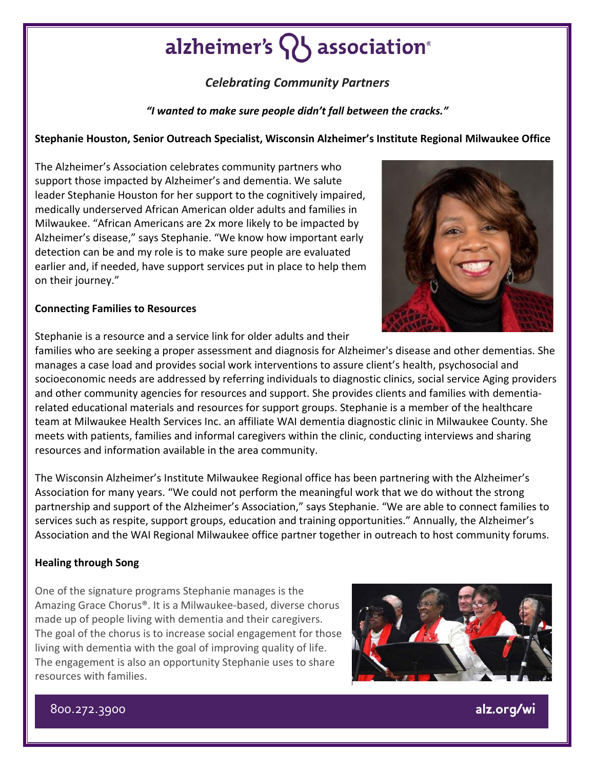## alzheimer's **Q** association<sup>®</sup>

### *Celebrating Community Partners*

*"I wanted to make sure people didn't fall between the cracks."*

### **Stephanie Houston, Senior Outreach Specialist, Wisconsin Alzheimer's Institute Regional Milwaukee Office**

The Alzheimer's Association celebrates community partners who support those impacted by Alzheimer's and dementia. We salute leader Stephanie Houston for her support to the cognitively impaired, medically underserved African American older adults and families in Milwaukee. "African Americans are 2x more likely to be impacted by Alzheimer's disease," says Stephanie. "We know how important early detection can be and my role is to make sure people are evaluated earlier and, if needed, have support services put in place to help them on their journey."



#### **Connecting Families to Resources**

Stephanie is a resource and a service link for older adults and their

families who are seeking a proper assessment and diagnosis for Alzheimer's disease and other dementias. She manages a case load and provides social work interventions to assure client's health, psychosocial and socioeconomic needs are addressed by referring individuals to diagnostic clinics, social service Aging providers and other community agencies for resources and support. She provides clients and families with dementiarelated educational materials and resources for support groups. Stephanie is a member of the healthcare team at Milwaukee Health Services Inc. an affiliate WAI dementia diagnostic clinic in Milwaukee County. She meets with patients, families and informal caregivers within the clinic, conducting interviews and sharing resources and information available in the area community.

The Wisconsin Alzheimer's Institute Milwaukee Regional office has been partnering with the Alzheimer's Association for many years. "We could not perform the meaningful work that we do without the strong partnership and support of the Alzheimer's Association," says Stephanie. "We are able to connect families to services such as respite, support groups, education and training opportunities." Annually, the Alzheimer's Association and the WAI Regional Milwaukee office partner together in outreach to host community forums.

#### **Healing through Song**

One of the signature programs Stephanie manages is the Amazing Grace Chorus®. It is a Milwaukee-based, diverse chorus made up of people living with dementia and their caregivers. The goal of the chorus is to increase social engagement for those living with dementia with the goal of improving quality of life. The engagement is also an opportunity Stephanie uses to share resources with families.



800.272.3900

alz.org/wi